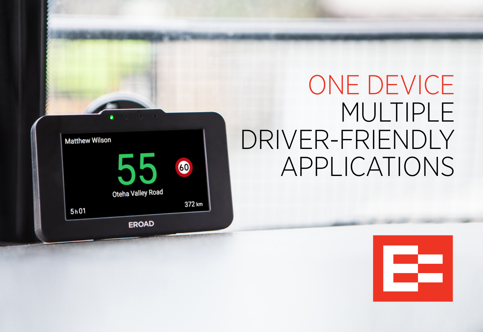

# ONE DEVICE MULTIPLE DRIVER-FRIENDLY APPLICATIONS

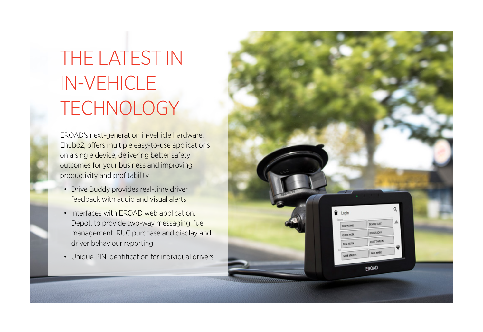## THE LATEST IN IN-VEHICLE **TECHNOLOGY**

EROAD's next-generation in-vehicle hardware, Ehubo2, offers multiple easy-to-use applications on a single device, delivering better safety outcomes for your business and improving productivity and profitability.

- Drive Buddy provides real-time driver feedback with audio and visual alerts
- Interfaces with EROAD web application, Depot, to provide two-way messaging, fuel management, RUC purchase and display and driver behaviour reporting
- Unique PIN identification for individual drivers

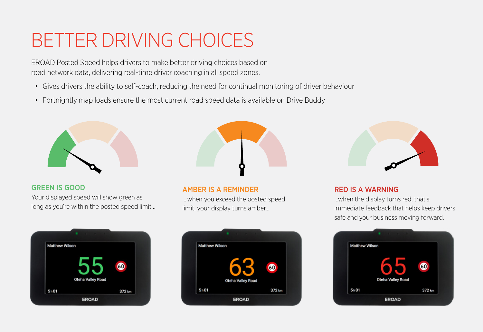#### BETTER DRIVING CHOICES

EROAD Posted Speed helps drivers to make better driving choices based on road network data, delivering real-time driver coaching in all speed zones.

- Gives drivers the ability to self-coach, reducing the need for continual monitoring of driver behaviour
- Fortnightly map loads ensure the most current road speed data is available on Drive Buddy



#### GREEN IS GOOD

Your displayed speed will show green as long as you're within the posted speed limit...





#### AMBER IS A REMINDER

....when you exceed the posted speed limit, your display turns amber...





#### RED IS A WARNING

…when the display turns red, that's immediate feedback that helps keep drivers safe and your business moving forward.

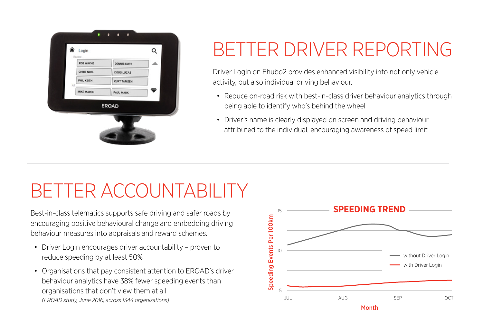

### BETTER DRIVER REPORTING

Driver Login on Ehubo2 provides enhanced visibility into not only vehicle activity, but also individual driving behaviour.

- Reduce on-road risk with best-in-class driver behaviour analytics through being able to identify who's behind the wheel
- Driver's name is clearly displayed on screen and driving behaviour attributed to the individual, encouraging awareness of speed limit

### BETTER ACCOUNTABILITY

Best-in-class telematics supports safe driving and safer roads by encouraging positive behavioural change and embedding driving behaviour measures into appraisals and reward schemes.

- Driver Login encourages driver accountability proven to reduce speeding by at least 50%
- Organisations that pay consistent attention to EROAD's driver behaviour analytics have 38% fewer speeding events than organisations that don't view them at all *(EROAD study, June 2016, across 1344 organisations)*

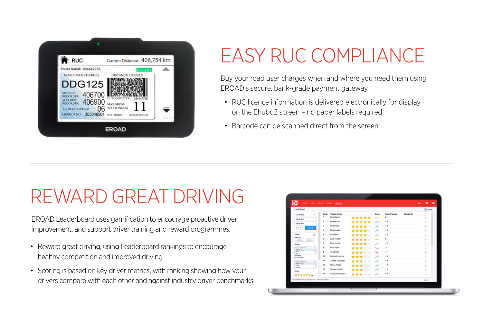

### EASY RUC COMPLIANCE

Buy your road user charges when and where you need them using EROAD's secure, bank-grade payment gateway.

- RUC licence information is delivered electronically for display on the Ehubo2 screen – no paper labels required
- Barcode can be scanned direct from the screen

### REWARD GREAT DRIVING

EROAD Leaderboard uses gamification to encourage proactive driver improvement, and support driver training and reward programmes.

- Reward great driving, using Leaderboard rankings to encourage healthy competition and improved driving
- Scoring is based on key driver metrics, with ranking showing how your drivers compare with each other and against industry driver benchmarks

| Leaderboard                                               |                         |                     |               |                             |                                        |  | <b>Chair</b>  |  |
|-----------------------------------------------------------|-------------------------|---------------------|---------------|-----------------------------|----------------------------------------|--|---------------|--|
| Last McKeep<br>$\sim$                                     | Rank                    | <b>Vehicle Name</b> |               | <b>Trand</b>                | <b>Rank Change</b><br><b>Shared Bu</b> |  |               |  |
| <b>URINH JEEP</b>                                         | ٠                       | <b>Rob Wayne</b>    | *****         | $\overline{\phantom{a}}$    | ۰                                      |  | ÷             |  |
| <b>Hilling Britt</b>                                      | z                       | Dennis Kurt         | *****         | $\overline{\phantom{a}}$    | $\sim 1$                               |  | 4             |  |
| $C$ $3$                                                   | ×                       | Chris Now           | ****<br>÷     | $\mathcal{P}^{\mathcal{R}}$ | $+1$                                   |  | $\rightarrow$ |  |
| <b>SOM</b>                                                | ٠                       | Doug Lucas          | ****<br>۰     | مد                          | $+1$                                   |  | 4             |  |
| ð<br>Fillmen.                                             | ٠                       | Phil Keith          | ****<br>÷     | $\lambda^2$                 | $+5$                                   |  | ⇒             |  |
| <b>View By</b><br>1 Dec<br><b>Video</b>                   | ٠                       | Kurt Tampen         | *****         | $\rightarrow$               | o                                      |  | ÷             |  |
| Georges                                                   | $\overline{\mathbf{z}}$ | Mike Marsh          | ****<br>×.    | مر                          | $+2$                                   |  | ð             |  |
| Total is parallel full                                    | ٠                       | <b>Paul Mark</b>    | ****<br>÷     | $\mathbf{v}_\mathbf{r}$     | $-1$                                   |  | ÷,            |  |
| <b>Gill Grates</b><br><b>Buch</b>                         | ٠                       | All James           | ***<br>÷<br>٠ | $\mathbf{w}$                | - 1                                    |  | ÷             |  |
| such 1<br><b>Victorian</b>                                | 10                      | Cometon Jones       | ****<br>÷     | v                           | $+1$                                   |  | ð             |  |
| <b>SO de Venision</b>                                     | 71                      | Jimmy Campbell      | ÷<br>***<br>۰ | $\lambda^{\mu}$             | $-1$                                   |  | ð             |  |
| Total to particular<br><b>Call Newton</b><br><b>A New</b> | $\mathbf{t}$            | Honry Wright        | ***           | v                           | $+1$                                   |  | ð             |  |
| $A$ from                                                  | 52                      | Sheven Cooper       | ×<br>۰        |                             | $\sim 1$                               |  |               |  |
| Reting                                                    | 54                      |                     | ÷<br>۰<br>*** | مد                          | $+1$                                   |  | ÷             |  |
| <b><i>R*****</i></b>                                      |                         | Craig Weshington    | *****         | $\lambda^{\mu}$             |                                        |  | 5             |  |
| E2R7 0000 Links At ratio warres   Terra and Dentrons      |                         |                     |               |                             |                                        |  | LIGHT         |  |